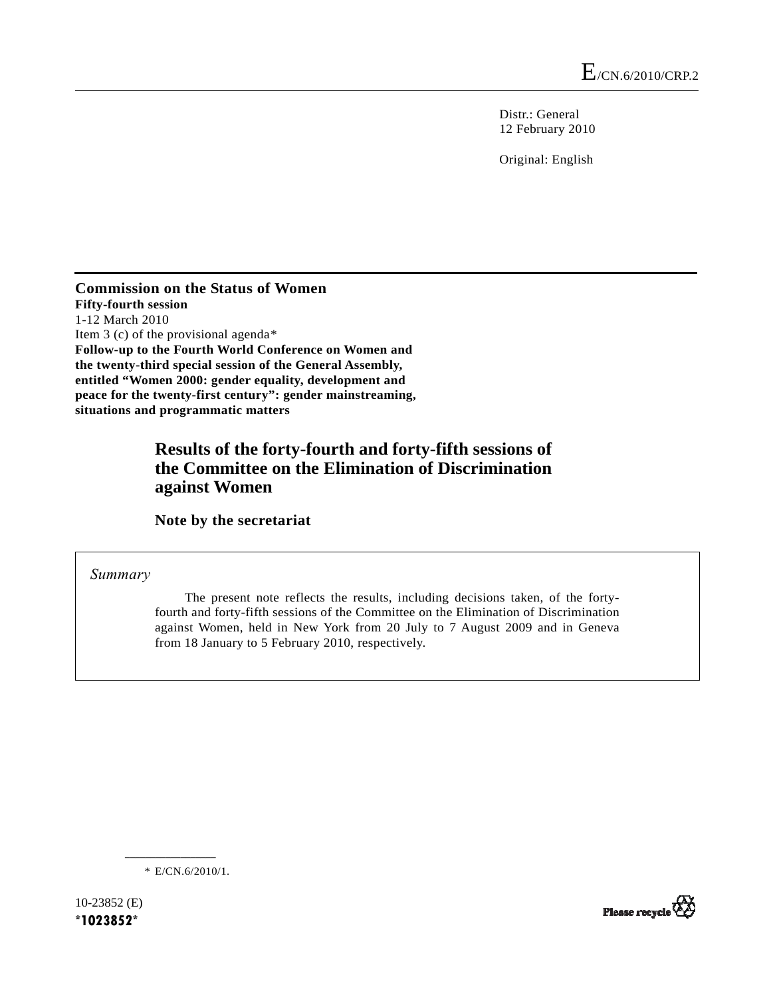Distr.: General 12 February 2010

Original: English

**Commission on the Status of Women Fifty-fourth session**  1-12 March 2010 Item 3 (c) of the provisional agenda[\\*](#page-0-0) **Follow-up to the Fourth World Conference on Women and the twenty-third special session of the General Assembly, entitled "Women 2000: gender equality, development and peace for the twenty-first century": gender mainstreaming, situations and programmatic matters** 

# **Results of the forty-fourth and forty-fifth sessions of the Committee on the Elimination of Discrimination against Women**

 **Note by the secretariat** 

 *Summary* 

 The present note reflects the results, including decisions taken, of the fortyfourth and forty-fifth sessions of the Committee on the Elimination of Discrimination against Women, held in New York from 20 July to 7 August 2009 and in Geneva from 18 January to 5 February 2010, respectively.

\* E/CN.6/2010/1.

**\_\_\_\_\_\_\_\_\_\_\_\_\_\_\_\_\_\_** 

<span id="page-0-0"></span>10-23852 (E) **\*1023852\*** 

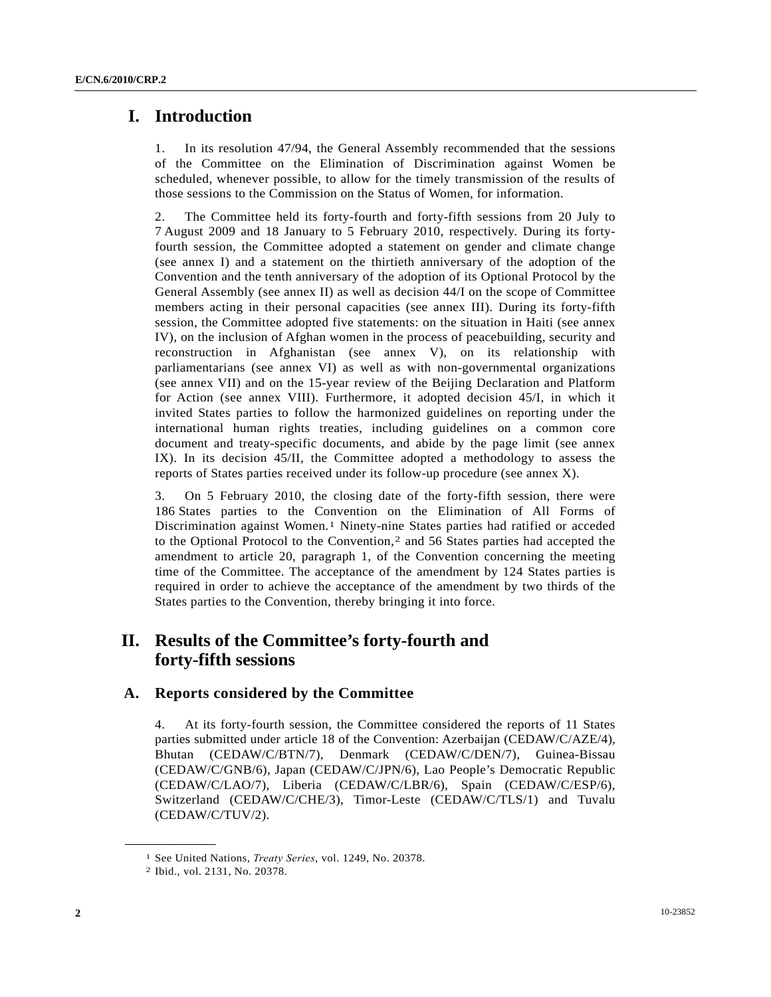# **I. Introduction**

1. In its resolution 47/94, the General Assembly recommended that the sessions of the Committee on the Elimination of Discrimination against Women be scheduled, whenever possible, to allow for the timely transmission of the results of those sessions to the Commission on the Status of Women, for information.

2. The Committee held its forty-fourth and forty-fifth sessions from 20 July to 7 August 2009 and 18 January to 5 February 2010, respectively. During its fortyfourth session, the Committee adopted a statement on gender and climate change (see annex I) and a statement on the thirtieth anniversary of the adoption of the Convention and the tenth anniversary of the adoption of its Optional Protocol by the General Assembly (see annex II) as well as decision 44/I on the scope of Committee members acting in their personal capacities (see annex III). During its forty-fifth session, the Committee adopted five statements: on the situation in Haiti (see annex IV), on the inclusion of Afghan women in the process of peacebuilding, security and reconstruction in Afghanistan (see annex V), on its relationship with parliamentarians (see annex VI) as well as with non-governmental organizations (see annex VII) and on the 15-year review of the Beijing Declaration and Platform for Action (see annex VIII). Furthermore, it adopted decision 45/I, in which it invited States parties to follow the harmonized guidelines on reporting under the international human rights treaties, including guidelines on a common core document and treaty-specific documents, and abide by the page limit (see annex IX). In its decision 45/II, the Committee adopted a methodology to assess the reports of States parties received under its follow-up procedure (see annex X).

3. On 5 February 2010, the closing date of the forty-fifth session, there were 186 States parties to the Convention on the Elimination of All Forms of Discrimination against Women.[1](#page-1-0) Ninety-nine States parties had ratified or acceded to the Optional Protocol to the Convention,[2](#page-1-1) and 56 States parties had accepted the amendment to article 20, paragraph 1, of the Convention concerning the meeting time of the Committee. The acceptance of the amendment by 124 States parties is required in order to achieve the acceptance of the amendment by two thirds of the States parties to the Convention, thereby bringing it into force.

# **II. Results of the Committee's forty-fourth and forty-fifth sessions**

### **A. Reports considered by the Committee**

4. At its forty-fourth session, the Committee considered the reports of 11 States parties submitted under article 18 of the Convention: Azerbaijan (CEDAW/C/AZE/4), Bhutan (CEDAW/C/BTN/7), Denmark (CEDAW/C/DEN/7), Guinea-Bissau (CEDAW/C/GNB/6), Japan (CEDAW/C/JPN/6), Lao People's Democratic Republic (CEDAW/C/LAO/7), Liberia (CEDAW/C/LBR/6), Spain (CEDAW/C/ESP/6), Switzerland (CEDAW/C/CHE/3), Timor-Leste (CEDAW/C/TLS/1) and Tuvalu (CEDAW/C/TUV/2).

<span id="page-1-1"></span><span id="page-1-0"></span><sup>1</sup> See United Nations, *Treaty Series*, vol. 1249, No. 20378. 2 Ibid., vol. 2131, No. 20378.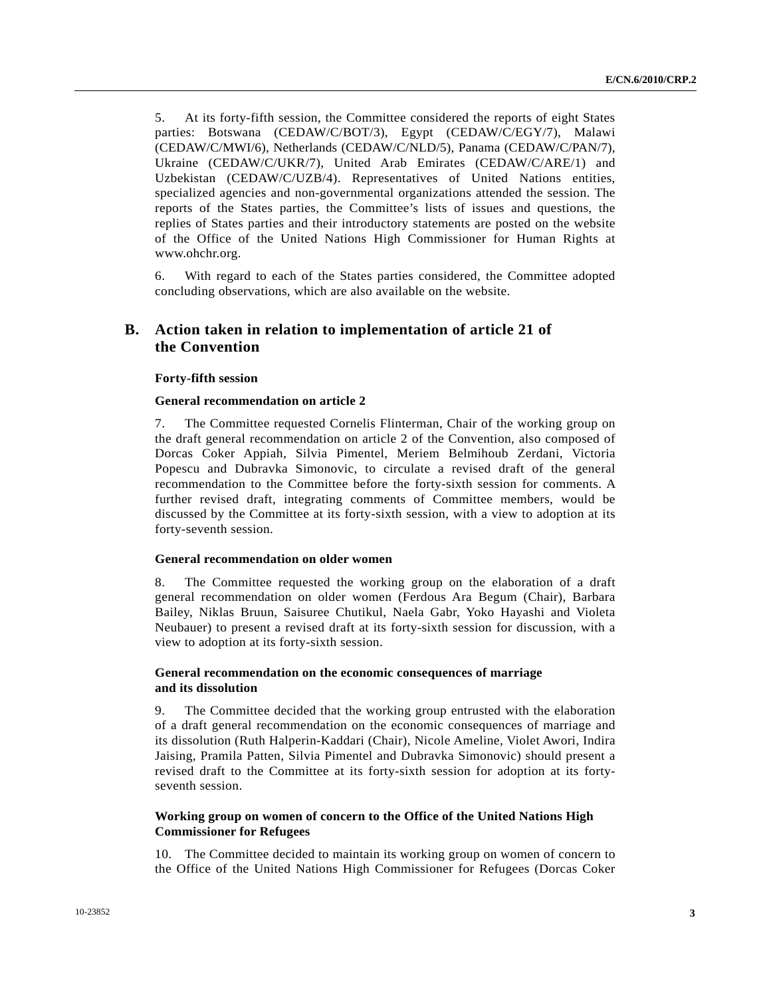5. At its forty-fifth session, the Committee considered the reports of eight States parties: Botswana (CEDAW/C/BOT/3), Egypt (CEDAW/C/EGY/7), Malawi (CEDAW/C/MWI/6), Netherlands (CEDAW/C/NLD/5), Panama (CEDAW/C/PAN/7), Ukraine (CEDAW/C/UKR/7), United Arab Emirates (CEDAW/C/ARE/1) and Uzbekistan (CEDAW/C/UZB/4). Representatives of United Nations entities, specialized agencies and non-governmental organizations attended the session. The reports of the States parties, the Committee's lists of issues and questions, the replies of States parties and their introductory statements are posted on the website of the Office of the United Nations High Commissioner for Human Rights at www.ohchr.org.

6. With regard to each of the States parties considered, the Committee adopted concluding observations, which are also available on the website.

### **B. Action taken in relation to implementation of article 21 of the Convention**

#### **Forty-fifth session**

#### **General recommendation on article 2**

7. The Committee requested Cornelis Flinterman, Chair of the working group on the draft general recommendation on article 2 of the Convention, also composed of Dorcas Coker Appiah, Silvia Pimentel, Meriem Belmihoub Zerdani, Victoria Popescu and Dubravka Simonovic, to circulate a revised draft of the general recommendation to the Committee before the forty-sixth session for comments. A further revised draft, integrating comments of Committee members, would be discussed by the Committee at its forty-sixth session, with a view to adoption at its forty-seventh session.

### **General recommendation on older women**

8. The Committee requested the working group on the elaboration of a draft general recommendation on older women (Ferdous Ara Begum (Chair), Barbara Bailey, Niklas Bruun, Saisuree Chutikul, Naela Gabr, Yoko Hayashi and Violeta Neubauer) to present a revised draft at its forty-sixth session for discussion, with a view to adoption at its forty-sixth session.

### **General recommendation on the economic consequences of marriage and its dissolution**

9. The Committee decided that the working group entrusted with the elaboration of a draft general recommendation on the economic consequences of marriage and its dissolution (Ruth Halperin-Kaddari (Chair), Nicole Ameline, Violet Awori, Indira Jaising, Pramila Patten, Silvia Pimentel and Dubravka Simonovic) should present a revised draft to the Committee at its forty-sixth session for adoption at its fortyseventh session.

### **Working group on women of concern to the Office of the United Nations High Commissioner for Refugees**

10. The Committee decided to maintain its working group on women of concern to the Office of the United Nations High Commissioner for Refugees (Dorcas Coker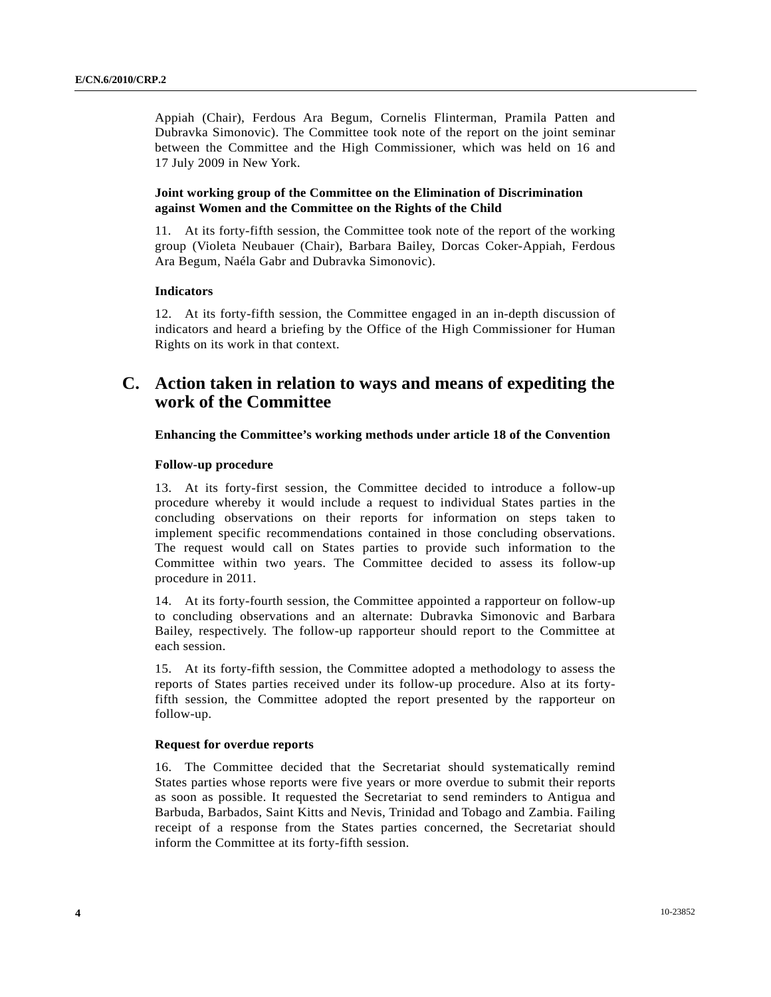Appiah (Chair), Ferdous Ara Begum, Cornelis Flinterman, Pramila Patten and Dubravka Simonovic). The Committee took note of the report on the joint seminar between the Committee and the High Commissioner, which was held on 16 and 17 July 2009 in New York.

### **Joint working group of the Committee on the Elimination of Discrimination against Women and the Committee on the Rights of the Child**

11. At its forty-fifth session, the Committee took note of the report of the working group (Violeta Neubauer (Chair), Barbara Bailey, Dorcas Coker-Appiah, Ferdous Ara Begum, Naéla Gabr and Dubravka Simonovic).

#### **Indicators**

12. At its forty-fifth session, the Committee engaged in an in-depth discussion of indicators and heard a briefing by the Office of the High Commissioner for Human Rights on its work in that context.

# **C. Action taken in relation to ways and means of expediting the work of the Committee**

#### **Enhancing the Committee's working methods under article 18 of the Convention**

#### **Follow-up procedure**

13. At its forty-first session, the Committee decided to introduce a follow-up procedure whereby it would include a request to individual States parties in the concluding observations on their reports for information on steps taken to implement specific recommendations contained in those concluding observations. The request would call on States parties to provide such information to the Committee within two years. The Committee decided to assess its follow-up procedure in 2011.

14. At its forty-fourth session, the Committee appointed a rapporteur on follow-up to concluding observations and an alternate: Dubravka Simonovic and Barbara Bailey, respectively. The follow-up rapporteur should report to the Committee at each session.

15. At its forty-fifth session, the Committee adopted a methodology to assess the reports of States parties received under its follow-up procedure. Also at its fortyfifth session, the Committee adopted the report presented by the rapporteur on follow-up.

#### **Request for overdue reports**

16. The Committee decided that the Secretariat should systematically remind States parties whose reports were five years or more overdue to submit their reports as soon as possible. It requested the Secretariat to send reminders to Antigua and Barbuda, Barbados, Saint Kitts and Nevis, Trinidad and Tobago and Zambia. Failing receipt of a response from the States parties concerned, the Secretariat should inform the Committee at its forty-fifth session.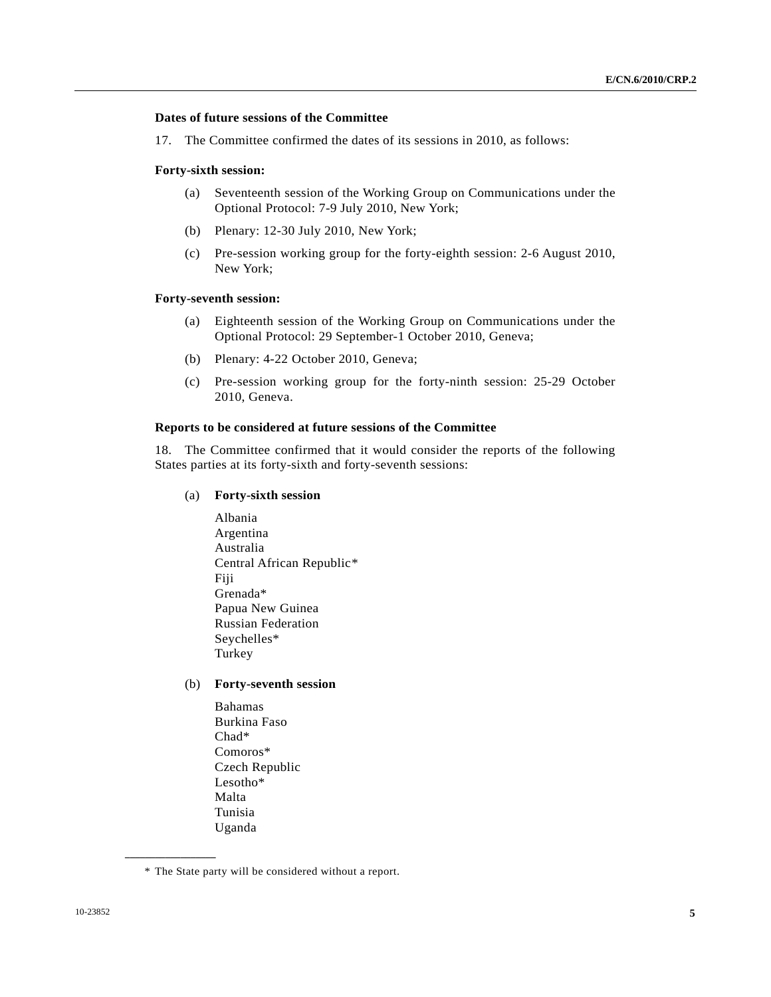### **Dates of future sessions of the Committee**

17. The Committee confirmed the dates of its sessions in 2010, as follows:

#### **Forty-sixth session:**

- (a) Seventeenth session of the Working Group on Communications under the Optional Protocol: 7-9 July 2010, New York;
- (b) Plenary: 12-30 July 2010, New York;
- (c) Pre-session working group for the forty-eighth session: 2-6 August 2010, New York;

#### **Forty-seventh session:**

- (a) Eighteenth session of the Working Group on Communications under the Optional Protocol: 29 September-1 October 2010, Geneva;
- (b) Plenary: 4-22 October 2010, Geneva;
- (c) Pre-session working group for the forty-ninth session: 25-29 October 2010, Geneva.

#### **Reports to be considered at future sessions of the Committee**

18. The Committee confirmed that it would consider the reports of the following States parties at its forty-sixth and forty-seventh sessions:

- (a) **Forty-sixth session** 
	- Albania Argentina Australia Central African Republic[\\*](#page-4-0) Fiji Grenada\* Papua New Guinea Russian Federation Seychelles\* Turkey

### (b) **Forty-seventh session**

 Bahamas Burkina Faso Chad\* Comoros\* Czech Republic Lesotho\* Malta Tunisia Uganda

<span id="page-4-0"></span><sup>\*</sup> The State party will be considered without a report.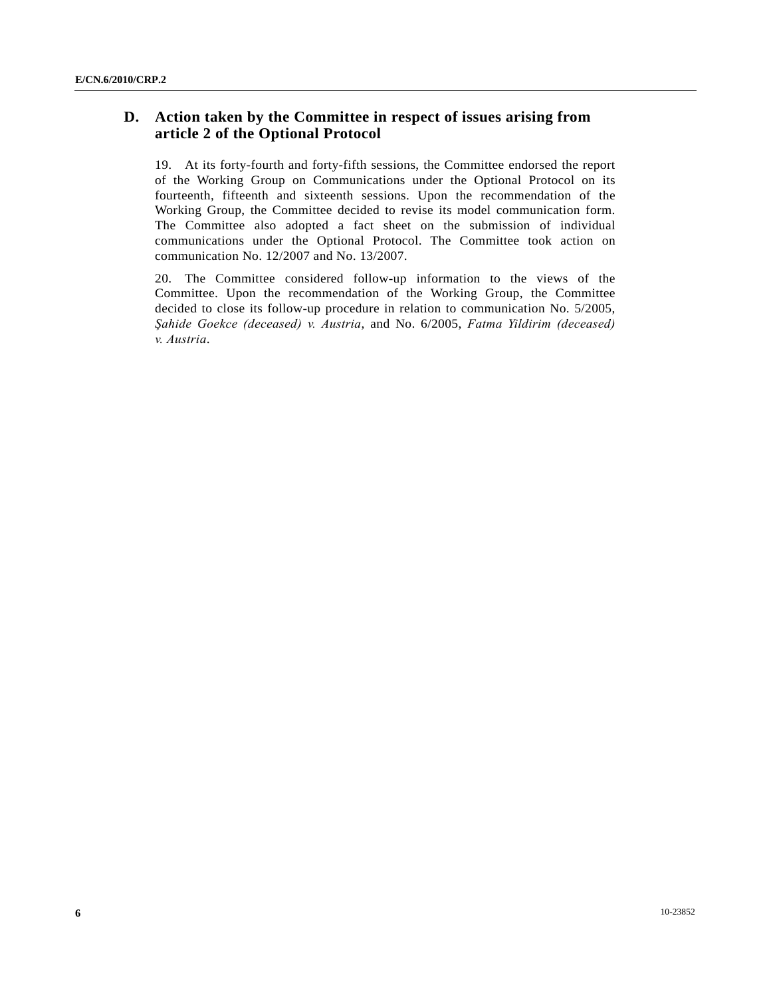# **D. Action taken by the Committee in respect of issues arising from article 2 of the Optional Protocol**

19. At its forty-fourth and forty-fifth sessions, the Committee endorsed the report of the Working Group on Communications under the Optional Protocol on its fourteenth, fifteenth and sixteenth sessions. Upon the recommendation of the Working Group, the Committee decided to revise its model communication form. The Committee also adopted a fact sheet on the submission of individual communications under the Optional Protocol. The Committee took action on communication No. 12/2007 and No. 13/2007.

20. The Committee considered follow-up information to the views of the Committee. Upon the recommendation of the Working Group, the Committee decided to close its follow-up procedure in relation to communication No. 5/2005, *Şahide Goekce (deceased) v. Austria*, and No. 6/2005, *Fatma Yildirim (deceased) v. Austria*.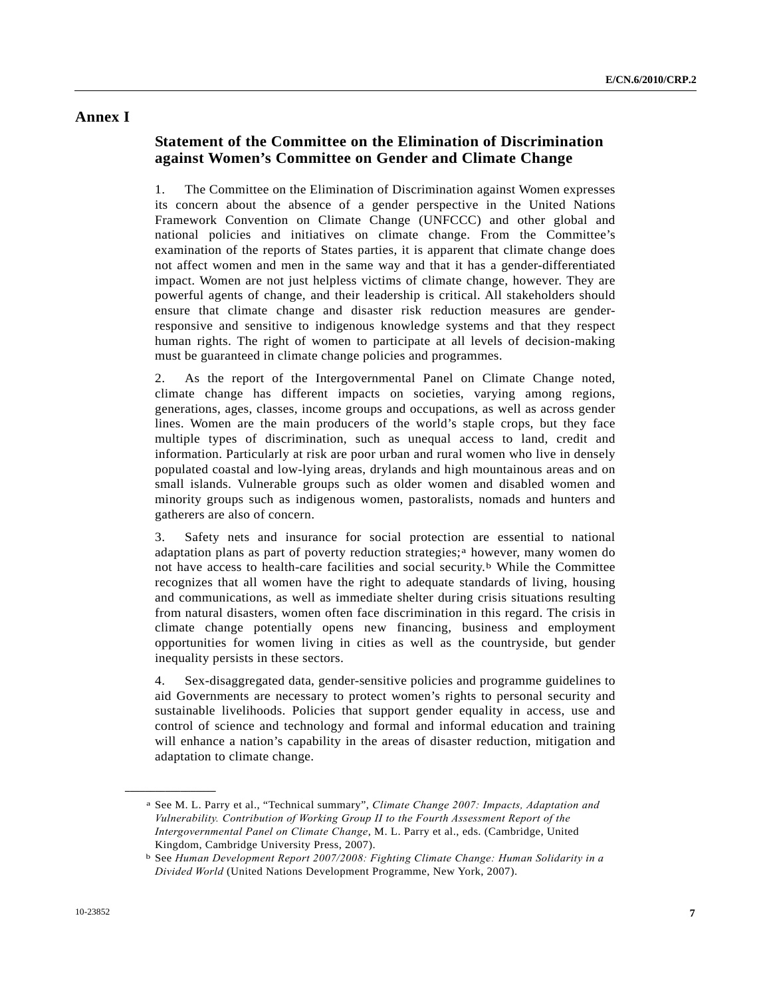## **Annex I**

## **Statement of the Committee on the Elimination of Discrimination against Women's Committee on Gender and Climate Change**

1. The Committee on the Elimination of Discrimination against Women expresses its concern about the absence of a gender perspective in the United Nations Framework Convention on Climate Change (UNFCCC) and other global and national policies and initiatives on climate change. From the Committee's examination of the reports of States parties, it is apparent that climate change does not affect women and men in the same way and that it has a gender-differentiated impact. Women are not just helpless victims of climate change, however. They are powerful agents of change, and their leadership is critical. All stakeholders should ensure that climate change and disaster risk reduction measures are genderresponsive and sensitive to indigenous knowledge systems and that they respect human rights. The right of women to participate at all levels of decision-making must be guaranteed in climate change policies and programmes.

2. As the report of the Intergovernmental Panel on Climate Change noted, climate change has different impacts on societies, varying among regions, generations, ages, classes, income groups and occupations, as well as across gender lines. Women are the main producers of the world's staple crops, but they face multiple types of discrimination, such as unequal access to land, credit and information. Particularly at risk are poor urban and rural women who live in densely populated coastal and low-lying areas, drylands and high mountainous areas and on small islands. Vulnerable groups such as older women and disabled women and minority groups such as indigenous women, pastoralists, nomads and hunters and gatherers are also of concern.

3. Safety nets and insurance for social protection are essential to national [a](#page-6-0)daptation plans as part of poverty reduction strategies;<sup>a</sup> however, many women do not have access to health-care facilities and social security.<sup>[b](#page-6-1)</sup> While the Committee recognizes that all women have the right to adequate standards of living, housing and communications, as well as immediate shelter during crisis situations resulting from natural disasters, women often face discrimination in this regard. The crisis in climate change potentially opens new financing, business and employment opportunities for women living in cities as well as the countryside, but gender inequality persists in these sectors.

4. Sex-disaggregated data, gender-sensitive policies and programme guidelines to aid Governments are necessary to protect women's rights to personal security and sustainable livelihoods. Policies that support gender equality in access, use and control of science and technology and formal and informal education and training will enhance a nation's capability in the areas of disaster reduction, mitigation and adaptation to climate change.

<span id="page-6-0"></span>a See M. L. Parry et al., "Technical summary", *Climate Change 2007: Impacts, Adaptation and Vulnerability. Contribution of Working Group II to the Fourth Assessment Report of the Intergovernmental Panel on Climate Change*, M. L. Parry et al., eds. (Cambridge, United Kingdom, Cambridge University Press, 2007).

<span id="page-6-1"></span>b See *Human Development Report 2007/2008: Fighting Climate Change: Human Solidarity in a Divided World* (United Nations Development Programme, New York, 2007).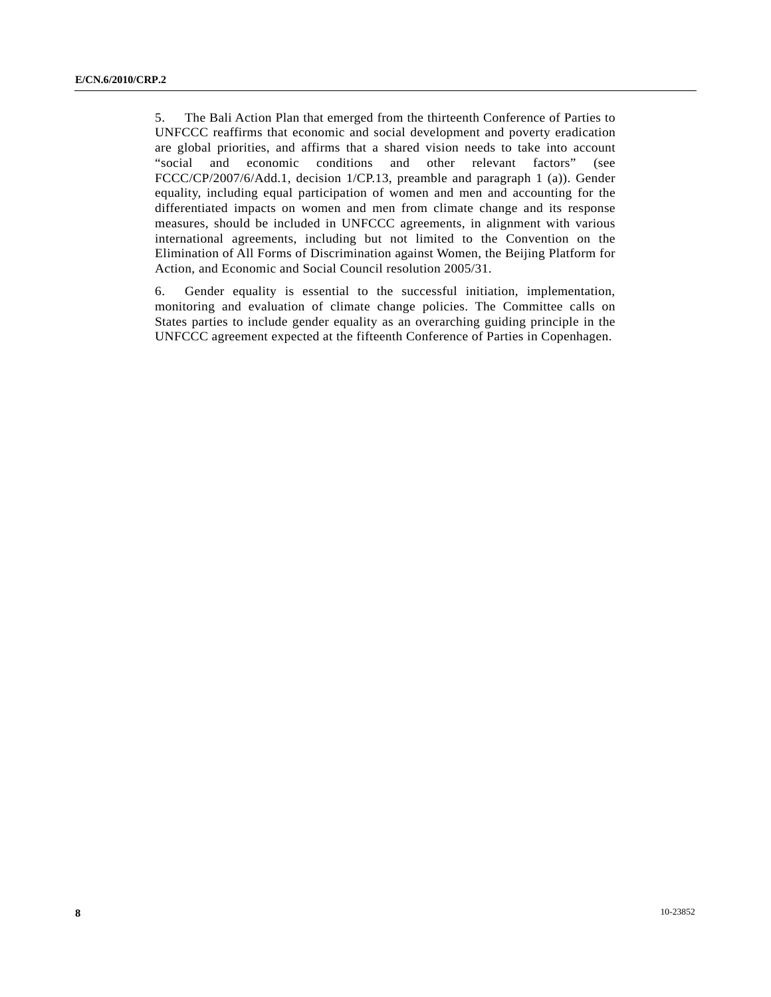5. The Bali Action Plan that emerged from the thirteenth Conference of Parties to UNFCCC reaffirms that economic and social development and poverty eradication are global priorities, and affirms that a shared vision needs to take into account "social and economic conditions and other relevant factors" (see FCCC/CP/2007/6/Add.1, decision 1/CP.13, preamble and paragraph 1 (a)). Gender equality, including equal participation of women and men and accounting for the differentiated impacts on women and men from climate change and its response measures, should be included in UNFCCC agreements, in alignment with various international agreements, including but not limited to the Convention on the Elimination of All Forms of Discrimination against Women, the Beijing Platform for Action, and Economic and Social Council resolution 2005/31.

6. Gender equality is essential to the successful initiation, implementation, monitoring and evaluation of climate change policies. The Committee calls on States parties to include gender equality as an overarching guiding principle in the UNFCCC agreement expected at the fifteenth Conference of Parties in Copenhagen.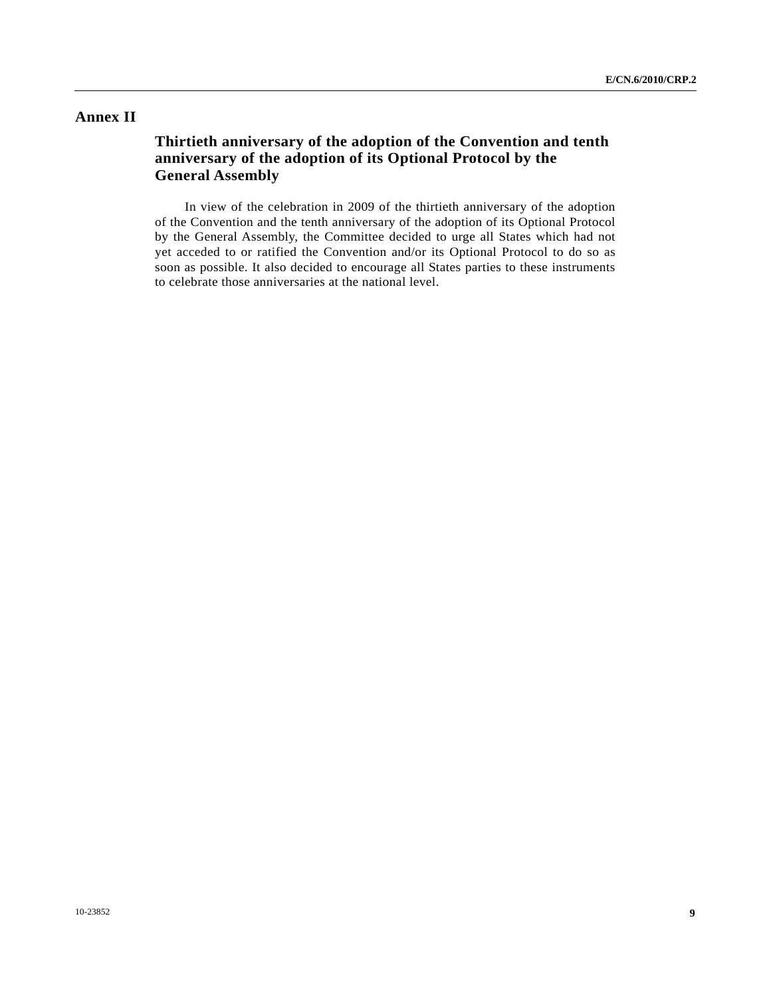### **Annex II**

# **Thirtieth anniversary of the adoption of the Convention and tenth anniversary of the adoption of its Optional Protocol by the General Assembly**

 In view of the celebration in 2009 of the thirtieth anniversary of the adoption of the Convention and the tenth anniversary of the adoption of its Optional Protocol by the General Assembly, the Committee decided to urge all States which had not yet acceded to or ratified the Convention and/or its Optional Protocol to do so as soon as possible. It also decided to encourage all States parties to these instruments to celebrate those anniversaries at the national level.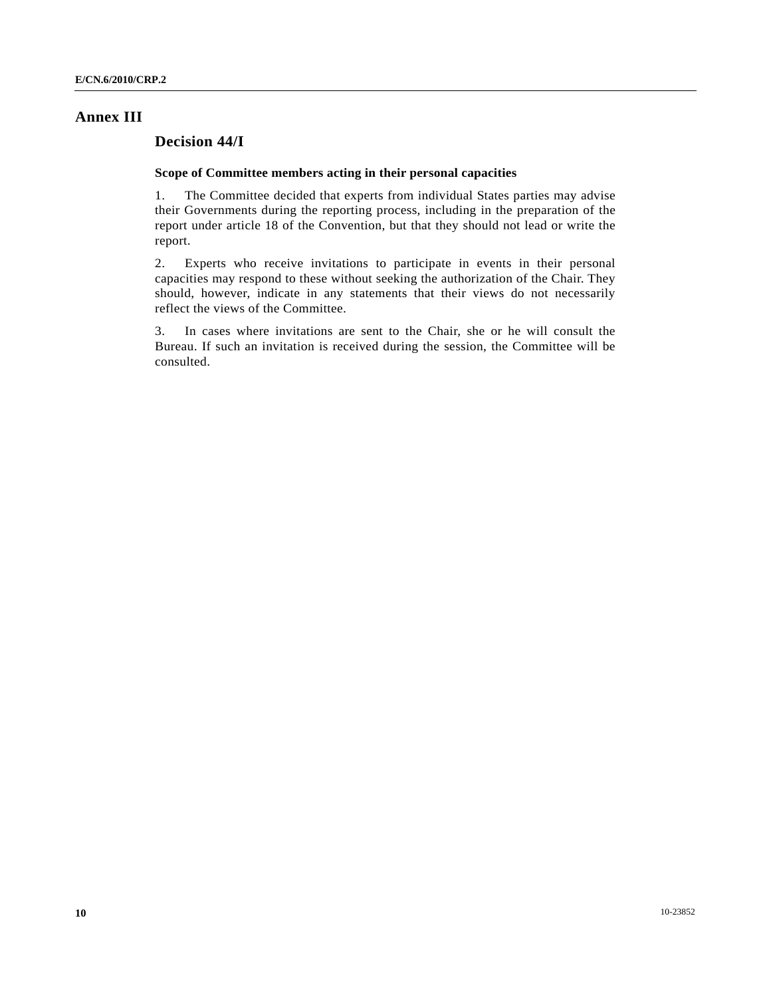### **Annex III**

## **Decision 44/I**

### **Scope of Committee members acting in their personal capacities**

1. The Committee decided that experts from individual States parties may advise their Governments during the reporting process, including in the preparation of the report under article 18 of the Convention, but that they should not lead or write the report.

2. Experts who receive invitations to participate in events in their personal capacities may respond to these without seeking the authorization of the Chair. They should, however, indicate in any statements that their views do not necessarily reflect the views of the Committee.

3. In cases where invitations are sent to the Chair, she or he will consult the Bureau. If such an invitation is received during the session, the Committee will be consulted.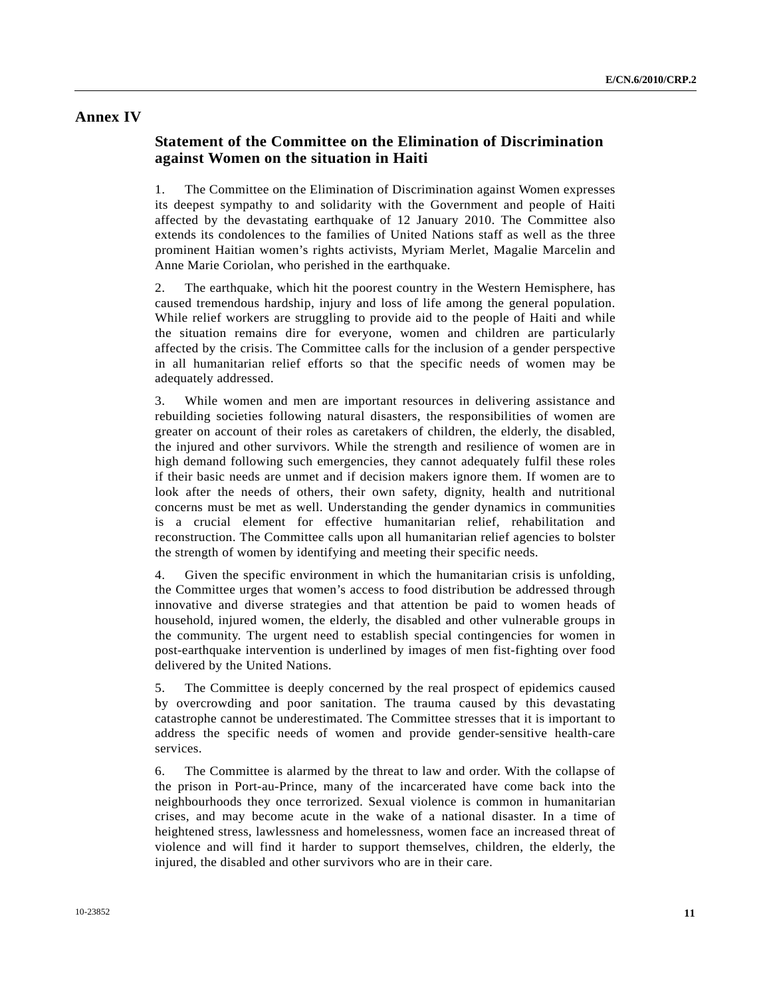### **Annex IV**

## **Statement of the Committee on the Elimination of Discrimination against Women on the situation in Haiti**

1. The Committee on the Elimination of Discrimination against Women expresses its deepest sympathy to and solidarity with the Government and people of Haiti affected by the devastating earthquake of 12 January 2010. The Committee also extends its condolences to the families of United Nations staff as well as the three prominent Haitian women's rights activists, Myriam Merlet, Magalie Marcelin and Anne Marie Coriolan, who perished in the earthquake.

2. The earthquake, which hit the poorest country in the Western Hemisphere, has caused tremendous hardship, injury and loss of life among the general population. While relief workers are struggling to provide aid to the people of Haiti and while the situation remains dire for everyone, women and children are particularly affected by the crisis. The Committee calls for the inclusion of a gender perspective in all humanitarian relief efforts so that the specific needs of women may be adequately addressed.

3. While women and men are important resources in delivering assistance and rebuilding societies following natural disasters, the responsibilities of women are greater on account of their roles as caretakers of children, the elderly, the disabled, the injured and other survivors. While the strength and resilience of women are in high demand following such emergencies, they cannot adequately fulfil these roles if their basic needs are unmet and if decision makers ignore them. If women are to look after the needs of others, their own safety, dignity, health and nutritional concerns must be met as well. Understanding the gender dynamics in communities is a crucial element for effective humanitarian relief, rehabilitation and reconstruction. The Committee calls upon all humanitarian relief agencies to bolster the strength of women by identifying and meeting their specific needs.

4. Given the specific environment in which the humanitarian crisis is unfolding, the Committee urges that women's access to food distribution be addressed through innovative and diverse strategies and that attention be paid to women heads of household, injured women, the elderly, the disabled and other vulnerable groups in the community. The urgent need to establish special contingencies for women in post-earthquake intervention is underlined by images of men fist-fighting over food delivered by the United Nations.

5. The Committee is deeply concerned by the real prospect of epidemics caused by overcrowding and poor sanitation. The trauma caused by this devastating catastrophe cannot be underestimated. The Committee stresses that it is important to address the specific needs of women and provide gender-sensitive health-care services.

6. The Committee is alarmed by the threat to law and order. With the collapse of the prison in Port-au-Prince, many of the incarcerated have come back into the neighbourhoods they once terrorized. Sexual violence is common in humanitarian crises, and may become acute in the wake of a national disaster. In a time of heightened stress, lawlessness and homelessness, women face an increased threat of violence and will find it harder to support themselves, children, the elderly, the injured, the disabled and other survivors who are in their care.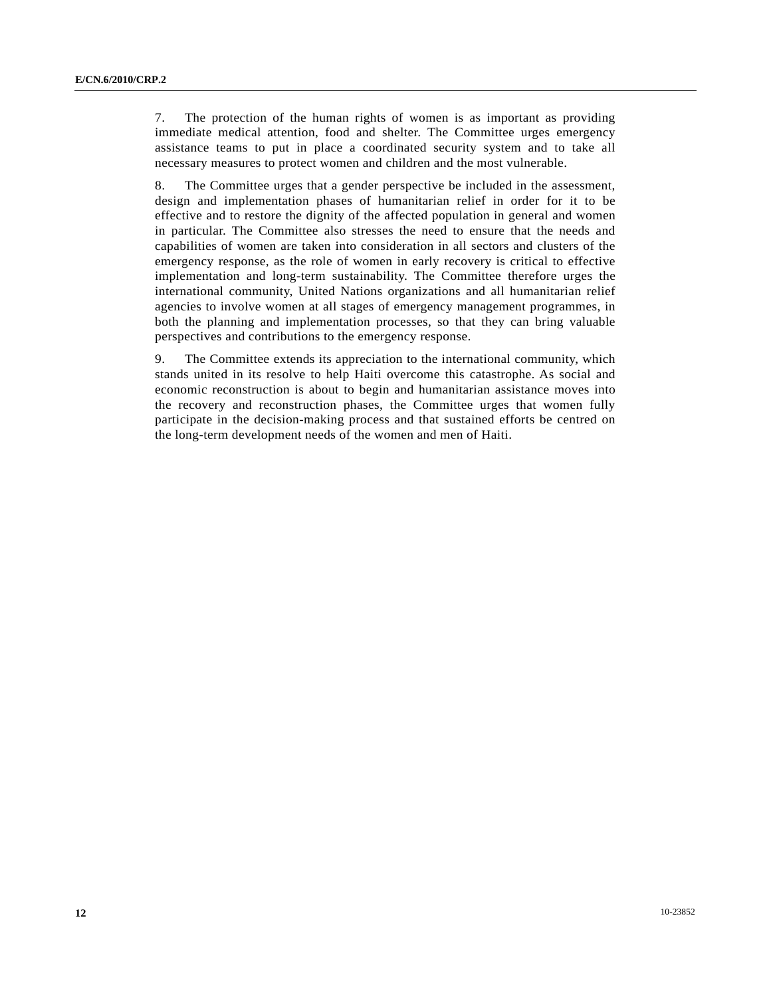7. The protection of the human rights of women is as important as providing immediate medical attention, food and shelter. The Committee urges emergency assistance teams to put in place a coordinated security system and to take all necessary measures to protect women and children and the most vulnerable.

8. The Committee urges that a gender perspective be included in the assessment, design and implementation phases of humanitarian relief in order for it to be effective and to restore the dignity of the affected population in general and women in particular. The Committee also stresses the need to ensure that the needs and capabilities of women are taken into consideration in all sectors and clusters of the emergency response, as the role of women in early recovery is critical to effective implementation and long-term sustainability. The Committee therefore urges the international community, United Nations organizations and all humanitarian relief agencies to involve women at all stages of emergency management programmes, in both the planning and implementation processes, so that they can bring valuable perspectives and contributions to the emergency response.

9. The Committee extends its appreciation to the international community, which stands united in its resolve to help Haiti overcome this catastrophe. As social and economic reconstruction is about to begin and humanitarian assistance moves into the recovery and reconstruction phases, the Committee urges that women fully participate in the decision-making process and that sustained efforts be centred on the long-term development needs of the women and men of Haiti.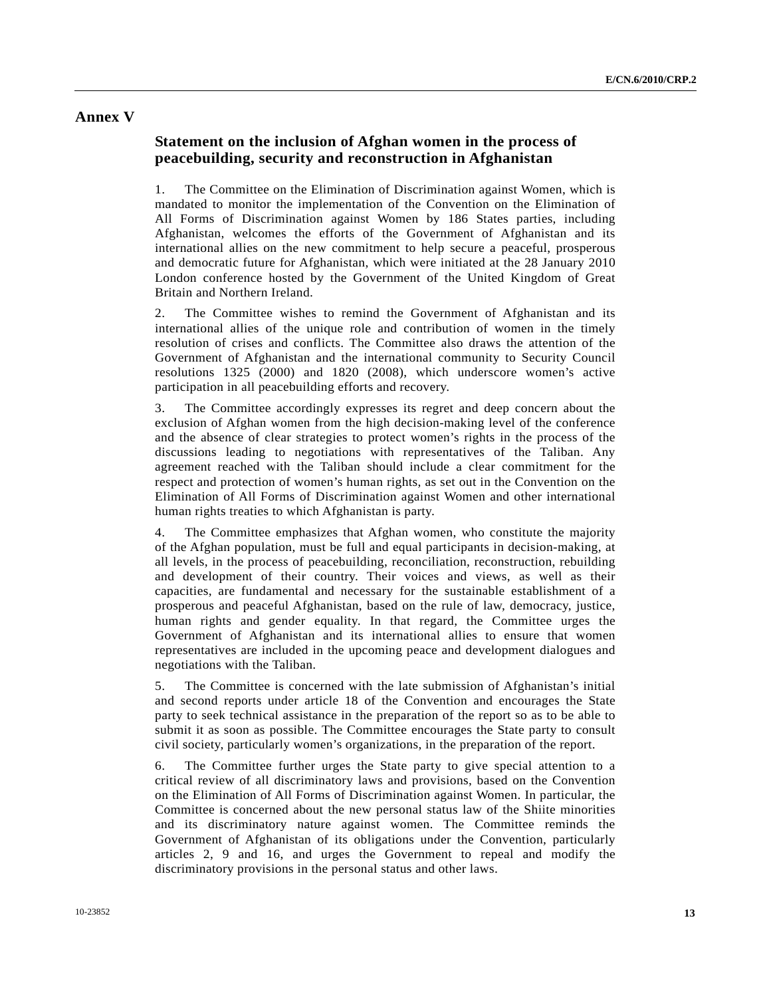### **Annex V**

## **Statement on the inclusion of Afghan women in the process of peacebuilding, security and reconstruction in Afghanistan**

1. The Committee on the Elimination of Discrimination against Women, which is mandated to monitor the implementation of the Convention on the Elimination of All Forms of Discrimination against Women by 186 States parties, including Afghanistan, welcomes the efforts of the Government of Afghanistan and its international allies on the new commitment to help secure a peaceful, prosperous and democratic future for Afghanistan, which were initiated at the 28 January 2010 London conference hosted by the Government of the United Kingdom of Great Britain and Northern Ireland.

2. The Committee wishes to remind the Government of Afghanistan and its international allies of the unique role and contribution of women in the timely resolution of crises and conflicts. The Committee also draws the attention of the Government of Afghanistan and the international community to Security Council resolutions 1325 (2000) and 1820 (2008), which underscore women's active participation in all peacebuilding efforts and recovery.

3. The Committee accordingly expresses its regret and deep concern about the exclusion of Afghan women from the high decision-making level of the conference and the absence of clear strategies to protect women's rights in the process of the discussions leading to negotiations with representatives of the Taliban. Any agreement reached with the Taliban should include a clear commitment for the respect and protection of women's human rights, as set out in the Convention on the Elimination of All Forms of Discrimination against Women and other international human rights treaties to which Afghanistan is party.

4. The Committee emphasizes that Afghan women, who constitute the majority of the Afghan population, must be full and equal participants in decision-making, at all levels, in the process of peacebuilding, reconciliation, reconstruction, rebuilding and development of their country. Their voices and views, as well as their capacities, are fundamental and necessary for the sustainable establishment of a prosperous and peaceful Afghanistan, based on the rule of law, democracy, justice, human rights and gender equality. In that regard, the Committee urges the Government of Afghanistan and its international allies to ensure that women representatives are included in the upcoming peace and development dialogues and negotiations with the Taliban.

5. The Committee is concerned with the late submission of Afghanistan's initial and second reports under article 18 of the Convention and encourages the State party to seek technical assistance in the preparation of the report so as to be able to submit it as soon as possible. The Committee encourages the State party to consult civil society, particularly women's organizations, in the preparation of the report.

6. The Committee further urges the State party to give special attention to a critical review of all discriminatory laws and provisions, based on the Convention on the Elimination of All Forms of Discrimination against Women. In particular, the Committee is concerned about the new personal status law of the Shiite minorities and its discriminatory nature against women. The Committee reminds the Government of Afghanistan of its obligations under the Convention, particularly articles 2, 9 and 16, and urges the Government to repeal and modify the discriminatory provisions in the personal status and other laws.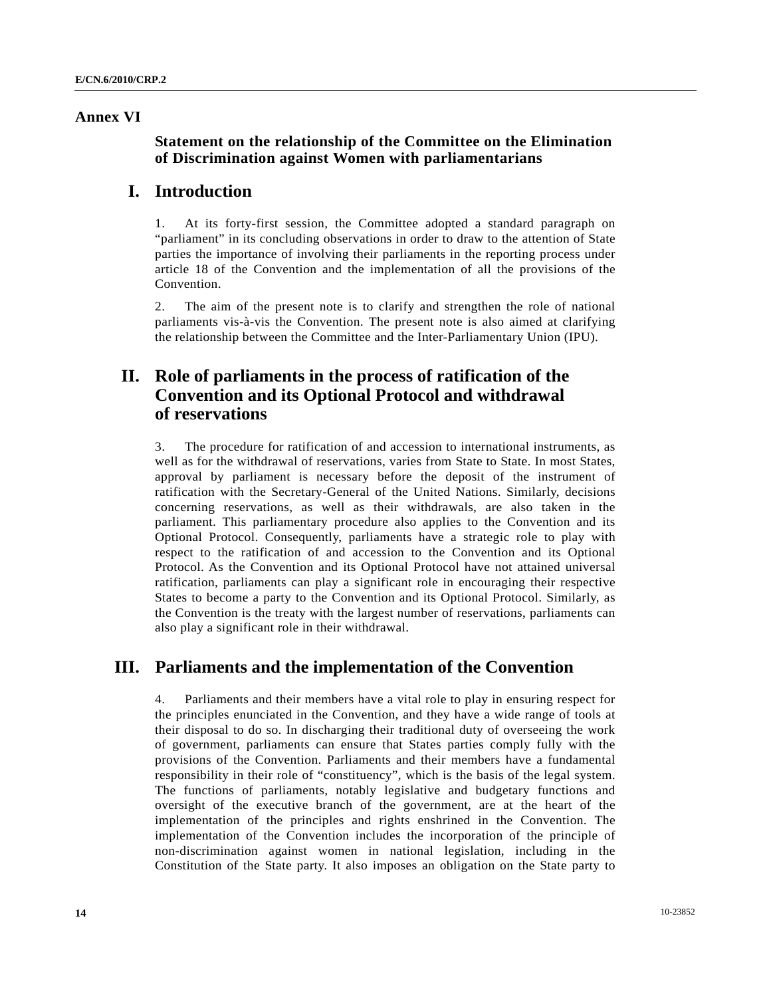### **Annex VI**

## **Statement on the relationship of the Committee on the Elimination of Discrimination against Women with parliamentarians**

## **I. Introduction**

1. At its forty-first session, the Committee adopted a standard paragraph on "parliament" in its concluding observations in order to draw to the attention of State parties the importance of involving their parliaments in the reporting process under article 18 of the Convention and the implementation of all the provisions of the Convention.

2. The aim of the present note is to clarify and strengthen the role of national parliaments vis-à-vis the Convention. The present note is also aimed at clarifying the relationship between the Committee and the Inter-Parliamentary Union (IPU).

# **II. Role of parliaments in the process of ratification of the Convention and its Optional Protocol and withdrawal of reservations**

3. The procedure for ratification of and accession to international instruments, as well as for the withdrawal of reservations, varies from State to State. In most States, approval by parliament is necessary before the deposit of the instrument of ratification with the Secretary-General of the United Nations. Similarly, decisions concerning reservations, as well as their withdrawals, are also taken in the parliament. This parliamentary procedure also applies to the Convention and its Optional Protocol. Consequently, parliaments have a strategic role to play with respect to the ratification of and accession to the Convention and its Optional Protocol. As the Convention and its Optional Protocol have not attained universal ratification, parliaments can play a significant role in encouraging their respective States to become a party to the Convention and its Optional Protocol. Similarly, as the Convention is the treaty with the largest number of reservations, parliaments can also play a significant role in their withdrawal.

# **III. Parliaments and the implementation of the Convention**

4. Parliaments and their members have a vital role to play in ensuring respect for the principles enunciated in the Convention, and they have a wide range of tools at their disposal to do so. In discharging their traditional duty of overseeing the work of government, parliaments can ensure that States parties comply fully with the provisions of the Convention. Parliaments and their members have a fundamental responsibility in their role of "constituency", which is the basis of the legal system. The functions of parliaments, notably legislative and budgetary functions and oversight of the executive branch of the government, are at the heart of the implementation of the principles and rights enshrined in the Convention. The implementation of the Convention includes the incorporation of the principle of non-discrimination against women in national legislation, including in the Constitution of the State party. It also imposes an obligation on the State party to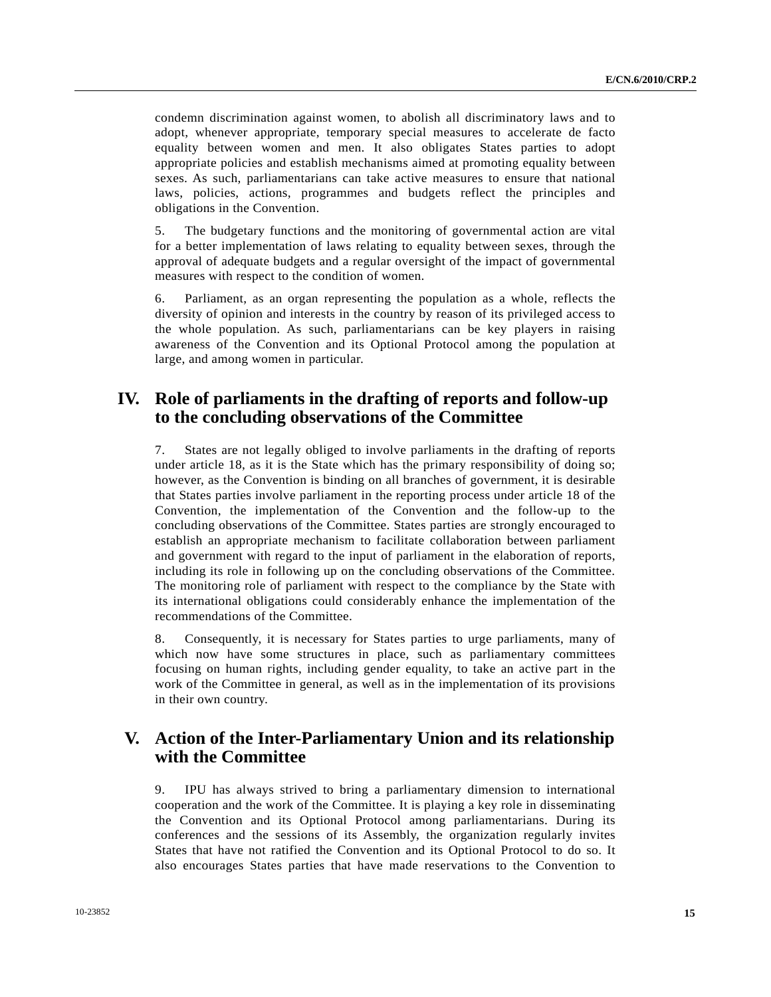condemn discrimination against women, to abolish all discriminatory laws and to adopt, whenever appropriate, temporary special measures to accelerate de facto equality between women and men. It also obligates States parties to adopt appropriate policies and establish mechanisms aimed at promoting equality between sexes. As such, parliamentarians can take active measures to ensure that national laws, policies, actions, programmes and budgets reflect the principles and obligations in the Convention.

5. The budgetary functions and the monitoring of governmental action are vital for a better implementation of laws relating to equality between sexes, through the approval of adequate budgets and a regular oversight of the impact of governmental measures with respect to the condition of women.

6. Parliament, as an organ representing the population as a whole, reflects the diversity of opinion and interests in the country by reason of its privileged access to the whole population. As such, parliamentarians can be key players in raising awareness of the Convention and its Optional Protocol among the population at large, and among women in particular.

# **IV. Role of parliaments in the drafting of reports and follow-up to the concluding observations of the Committee**

7. States are not legally obliged to involve parliaments in the drafting of reports under article 18, as it is the State which has the primary responsibility of doing so; however, as the Convention is binding on all branches of government, it is desirable that States parties involve parliament in the reporting process under article 18 of the Convention, the implementation of the Convention and the follow-up to the concluding observations of the Committee. States parties are strongly encouraged to establish an appropriate mechanism to facilitate collaboration between parliament and government with regard to the input of parliament in the elaboration of reports, including its role in following up on the concluding observations of the Committee. The monitoring role of parliament with respect to the compliance by the State with its international obligations could considerably enhance the implementation of the recommendations of the Committee.

8. Consequently, it is necessary for States parties to urge parliaments, many of which now have some structures in place, such as parliamentary committees focusing on human rights, including gender equality, to take an active part in the work of the Committee in general, as well as in the implementation of its provisions in their own country.

# **V. Action of the Inter-Parliamentary Union and its relationship with the Committee**

9. IPU has always strived to bring a parliamentary dimension to international cooperation and the work of the Committee. It is playing a key role in disseminating the Convention and its Optional Protocol among parliamentarians. During its conferences and the sessions of its Assembly, the organization regularly invites States that have not ratified the Convention and its Optional Protocol to do so. It also encourages States parties that have made reservations to the Convention to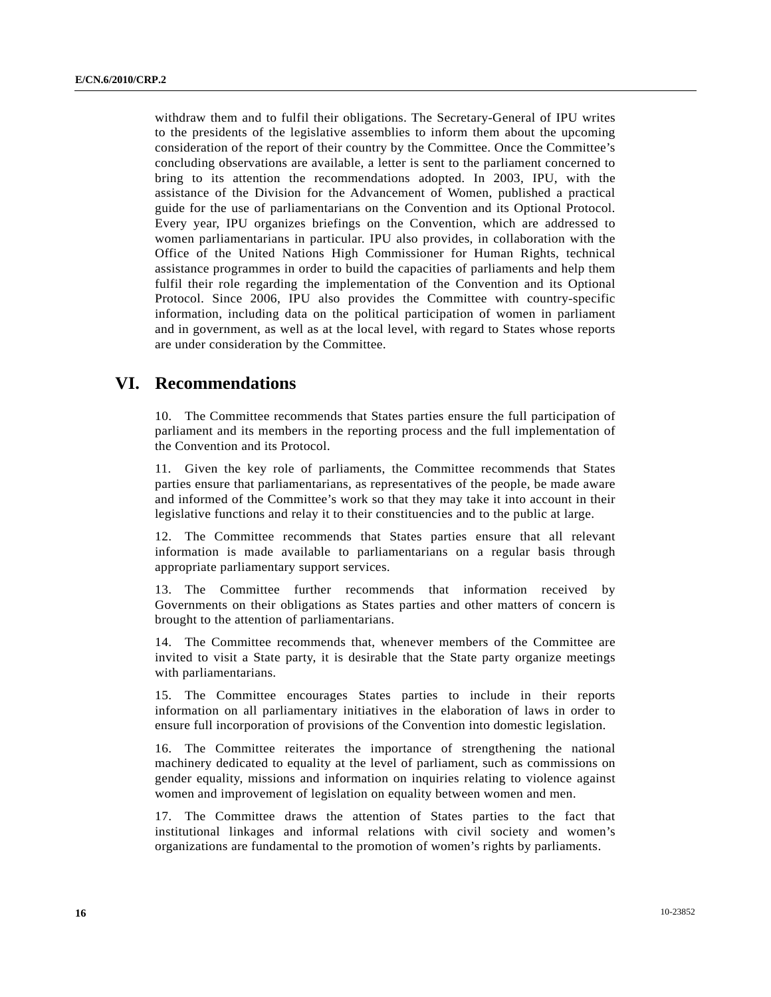withdraw them and to fulfil their obligations. The Secretary-General of IPU writes to the presidents of the legislative assemblies to inform them about the upcoming consideration of the report of their country by the Committee. Once the Committee's concluding observations are available, a letter is sent to the parliament concerned to bring to its attention the recommendations adopted. In 2003, IPU, with the assistance of the Division for the Advancement of Women, published a practical guide for the use of parliamentarians on the Convention and its Optional Protocol. Every year, IPU organizes briefings on the Convention, which are addressed to women parliamentarians in particular. IPU also provides, in collaboration with the Office of the United Nations High Commissioner for Human Rights, technical assistance programmes in order to build the capacities of parliaments and help them fulfil their role regarding the implementation of the Convention and its Optional Protocol. Since 2006, IPU also provides the Committee with country-specific information, including data on the political participation of women in parliament and in government, as well as at the local level, with regard to States whose reports are under consideration by the Committee.

# **VI. Recommendations**

10. The Committee recommends that States parties ensure the full participation of parliament and its members in the reporting process and the full implementation of the Convention and its Protocol.

11. Given the key role of parliaments, the Committee recommends that States parties ensure that parliamentarians, as representatives of the people, be made aware and informed of the Committee's work so that they may take it into account in their legislative functions and relay it to their constituencies and to the public at large.

12. The Committee recommends that States parties ensure that all relevant information is made available to parliamentarians on a regular basis through appropriate parliamentary support services.

13. The Committee further recommends that information received by Governments on their obligations as States parties and other matters of concern is brought to the attention of parliamentarians.

14. The Committee recommends that, whenever members of the Committee are invited to visit a State party, it is desirable that the State party organize meetings with parliamentarians.

15. The Committee encourages States parties to include in their reports information on all parliamentary initiatives in the elaboration of laws in order to ensure full incorporation of provisions of the Convention into domestic legislation.

16. The Committee reiterates the importance of strengthening the national machinery dedicated to equality at the level of parliament, such as commissions on gender equality, missions and information on inquiries relating to violence against women and improvement of legislation on equality between women and men.

17. The Committee draws the attention of States parties to the fact that institutional linkages and informal relations with civil society and women's organizations are fundamental to the promotion of women's rights by parliaments.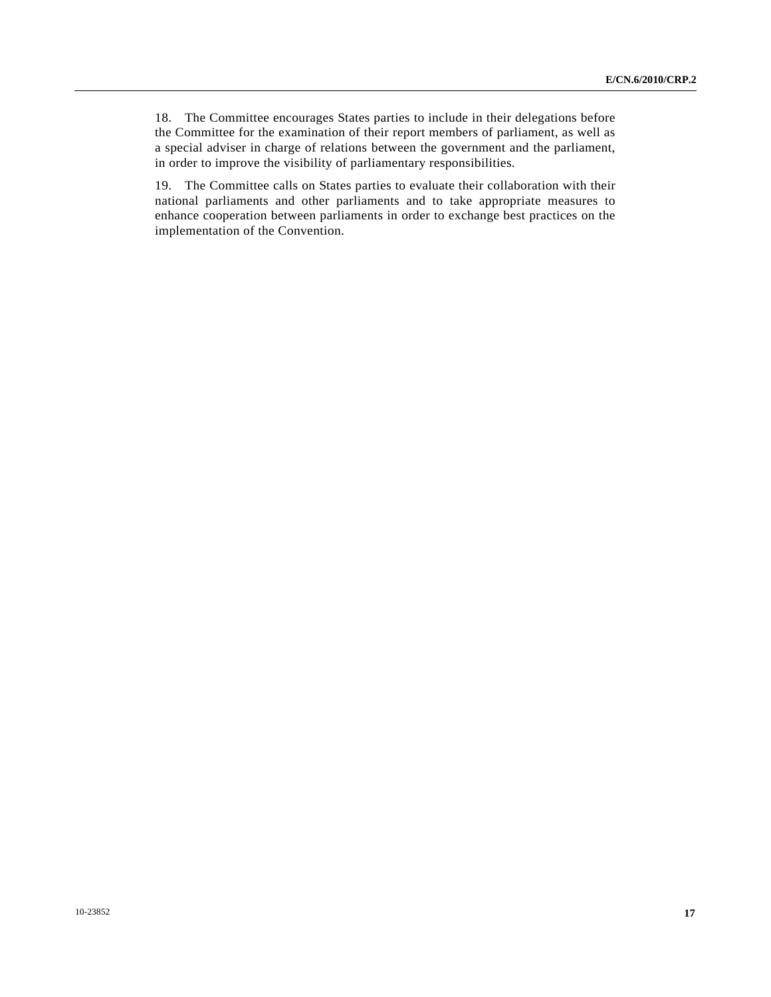18. The Committee encourages States parties to include in their delegations before the Committee for the examination of their report members of parliament, as well as a special adviser in charge of relations between the government and the parliament, in order to improve the visibility of parliamentary responsibilities.

19. The Committee calls on States parties to evaluate their collaboration with their national parliaments and other parliaments and to take appropriate measures to enhance cooperation between parliaments in order to exchange best practices on the implementation of the Convention.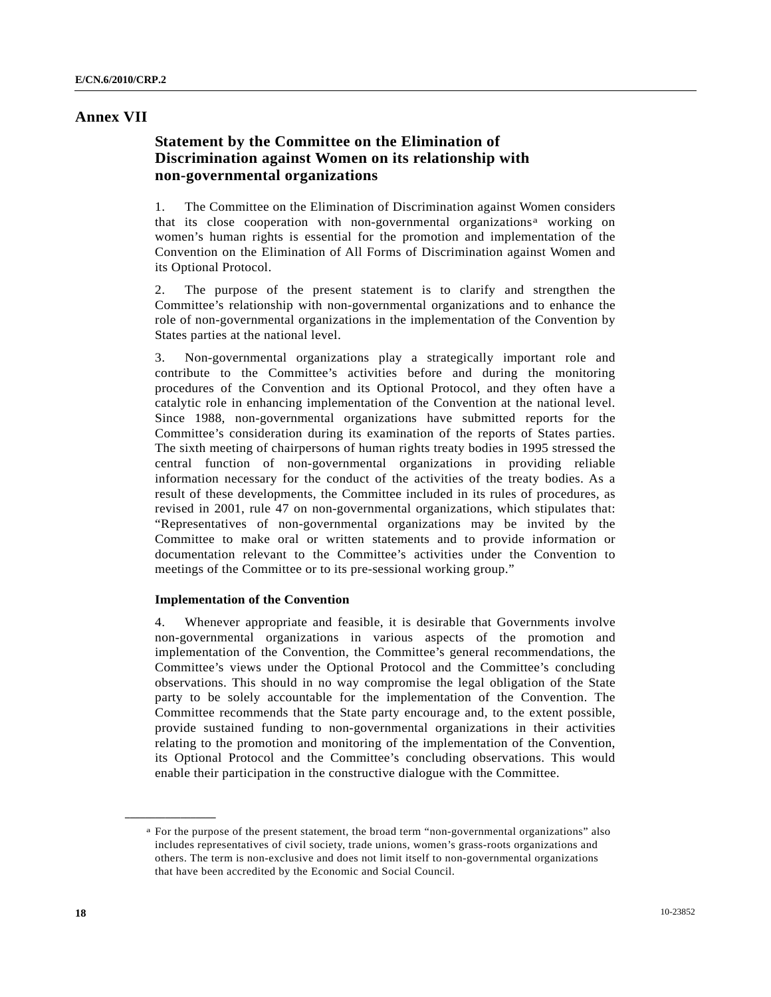### **Annex VII**

## **Statement by the Committee on the Elimination of Discrimination against Women on its relationship with non-governmental organizations**

1. The Committee on the Elimination of Discrimination against Women considers th[a](#page-17-0)t its close cooperation with non-governmental organizations<sup>a</sup> working on women's human rights is essential for the promotion and implementation of the Convention on the Elimination of All Forms of Discrimination against Women and its Optional Protocol.

2. The purpose of the present statement is to clarify and strengthen the Committee's relationship with non-governmental organizations and to enhance the role of non-governmental organizations in the implementation of the Convention by States parties at the national level.

3. Non-governmental organizations play a strategically important role and contribute to the Committee's activities before and during the monitoring procedures of the Convention and its Optional Protocol, and they often have a catalytic role in enhancing implementation of the Convention at the national level. Since 1988, non-governmental organizations have submitted reports for the Committee's consideration during its examination of the reports of States parties. The sixth meeting of chairpersons of human rights treaty bodies in 1995 stressed the central function of non-governmental organizations in providing reliable information necessary for the conduct of the activities of the treaty bodies. As a result of these developments, the Committee included in its rules of procedures, as revised in 2001, rule 47 on non-governmental organizations, which stipulates that: "Representatives of non-governmental organizations may be invited by the Committee to make oral or written statements and to provide information or documentation relevant to the Committee's activities under the Convention to meetings of the Committee or to its pre-sessional working group."

### **Implementation of the Convention**

4. Whenever appropriate and feasible, it is desirable that Governments involve non-governmental organizations in various aspects of the promotion and implementation of the Convention, the Committee's general recommendations, the Committee's views under the Optional Protocol and the Committee's concluding observations. This should in no way compromise the legal obligation of the State party to be solely accountable for the implementation of the Convention. The Committee recommends that the State party encourage and, to the extent possible, provide sustained funding to non-governmental organizations in their activities relating to the promotion and monitoring of the implementation of the Convention, its Optional Protocol and the Committee's concluding observations. This would enable their participation in the constructive dialogue with the Committee.

<span id="page-17-0"></span>a For the purpose of the present statement, the broad term "non-governmental organizations" also includes representatives of civil society, trade unions, women's grass-roots organizations and others. The term is non-exclusive and does not limit itself to non-governmental organizations that have been accredited by the Economic and Social Council.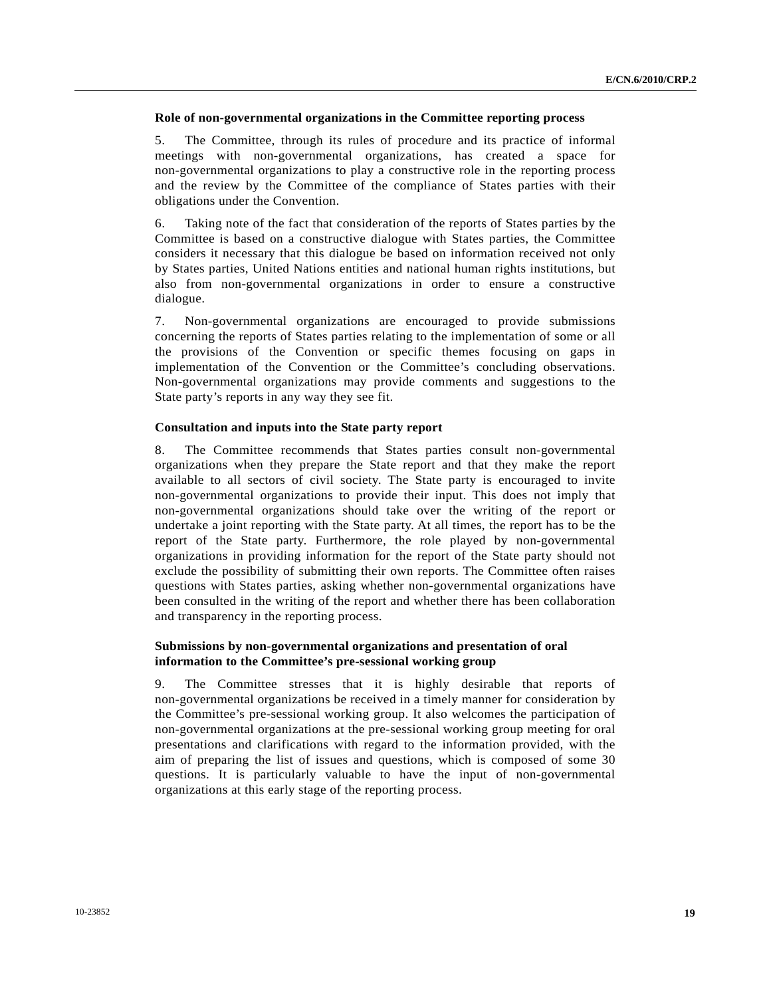### **Role of non-governmental organizations in the Committee reporting process**

5. The Committee, through its rules of procedure and its practice of informal meetings with non-governmental organizations, has created a space for non-governmental organizations to play a constructive role in the reporting process and the review by the Committee of the compliance of States parties with their obligations under the Convention.

6. Taking note of the fact that consideration of the reports of States parties by the Committee is based on a constructive dialogue with States parties, the Committee considers it necessary that this dialogue be based on information received not only by States parties, United Nations entities and national human rights institutions, but also from non-governmental organizations in order to ensure a constructive dialogue.

7. Non-governmental organizations are encouraged to provide submissions concerning the reports of States parties relating to the implementation of some or all the provisions of the Convention or specific themes focusing on gaps in implementation of the Convention or the Committee's concluding observations. Non-governmental organizations may provide comments and suggestions to the State party's reports in any way they see fit.

#### **Consultation and inputs into the State party report**

8. The Committee recommends that States parties consult non-governmental organizations when they prepare the State report and that they make the report available to all sectors of civil society. The State party is encouraged to invite non-governmental organizations to provide their input. This does not imply that non-governmental organizations should take over the writing of the report or undertake a joint reporting with the State party. At all times, the report has to be the report of the State party. Furthermore, the role played by non-governmental organizations in providing information for the report of the State party should not exclude the possibility of submitting their own reports. The Committee often raises questions with States parties, asking whether non-governmental organizations have been consulted in the writing of the report and whether there has been collaboration and transparency in the reporting process.

### **Submissions by non-governmental organizations and presentation of oral information to the Committee's pre-sessional working group**

9. The Committee stresses that it is highly desirable that reports of non-governmental organizations be received in a timely manner for consideration by the Committee's pre-sessional working group. It also welcomes the participation of non-governmental organizations at the pre-sessional working group meeting for oral presentations and clarifications with regard to the information provided, with the aim of preparing the list of issues and questions, which is composed of some 30 questions. It is particularly valuable to have the input of non-governmental organizations at this early stage of the reporting process.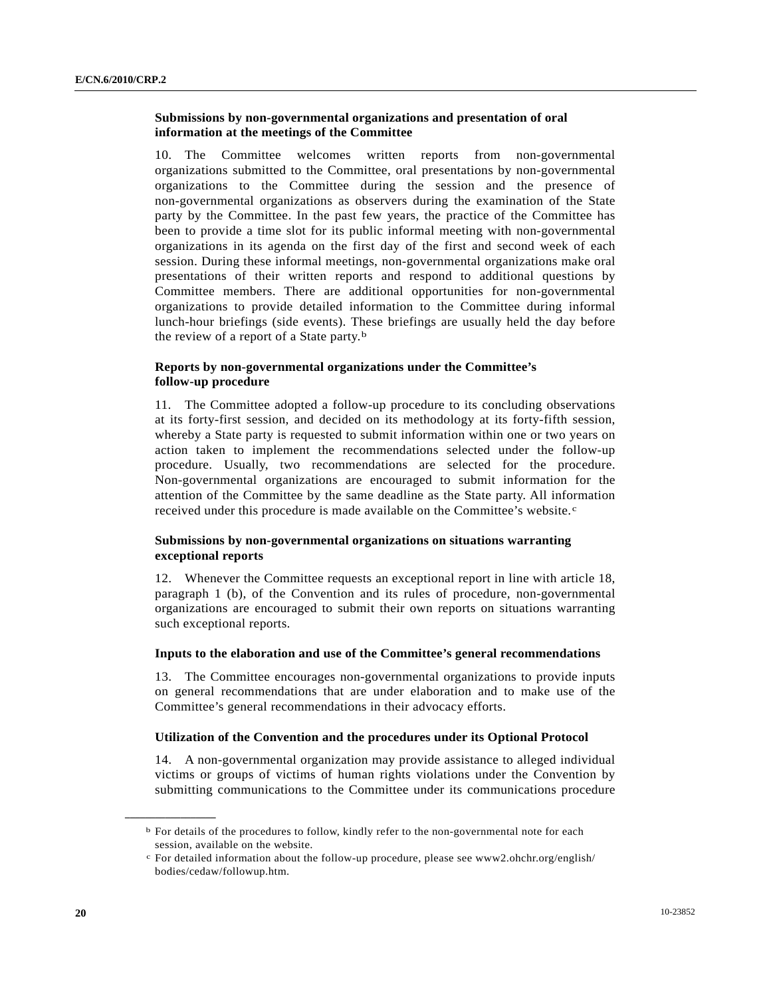### **Submissions by non-governmental organizations and presentation of oral information at the meetings of the Committee**

10. The Committee welcomes written reports from non-governmental organizations submitted to the Committee, oral presentations by non-governmental organizations to the Committee during the session and the presence of non-governmental organizations as observers during the examination of the State party by the Committee. In the past few years, the practice of the Committee has been to provide a time slot for its public informal meeting with non-governmental organizations in its agenda on the first day of the first and second week of each session. During these informal meetings, non-governmental organizations make oral presentations of their written reports and respond to additional questions by Committee members. There are additional opportunities for non-governmental organizations to provide detailed information to the Committee during informal lunch-hour briefings (side events). These briefings are usually held the day before the review of a report of a State party.<sup>[b](#page-19-0)</sup>

### **Reports by non-governmental organizations under the Committee's follow-up procedure**

11. The Committee adopted a follow-up procedure to its concluding observations at its forty-first session, and decided on its methodology at its forty-fifth session, whereby a State party is requested to submit information within one or two years on action taken to implement the recommendations selected under the follow-up procedure. Usually, two recommendations are selected for the procedure. Non-governmental organizations are encouraged to submit information for the attention of the Committee by the same deadline as the State party. All information re[c](#page-19-1)eived under this procedure is made available on the Committee's website. $c$ 

### **Submissions by non-governmental organizations on situations warranting exceptional reports**

12. Whenever the Committee requests an exceptional report in line with article 18, paragraph 1 (b), of the Convention and its rules of procedure, non-governmental organizations are encouraged to submit their own reports on situations warranting such exceptional reports.

### **Inputs to the elaboration and use of the Committee's general recommendations**

13. The Committee encourages non-governmental organizations to provide inputs on general recommendations that are under elaboration and to make use of the Committee's general recommendations in their advocacy efforts.

#### **Utilization of the Convention and the procedures under its Optional Protocol**

14. A non-governmental organization may provide assistance to alleged individual victims or groups of victims of human rights violations under the Convention by submitting communications to the Committee under its communications procedure

<span id="page-19-0"></span>b For details of the procedures to follow, kindly refer to the non-governmental note for each session, available on the website.

<span id="page-19-1"></span>For detailed information about the follow-up procedure, please see www2.ohchr.org/english/ bodies/cedaw/followup.htm.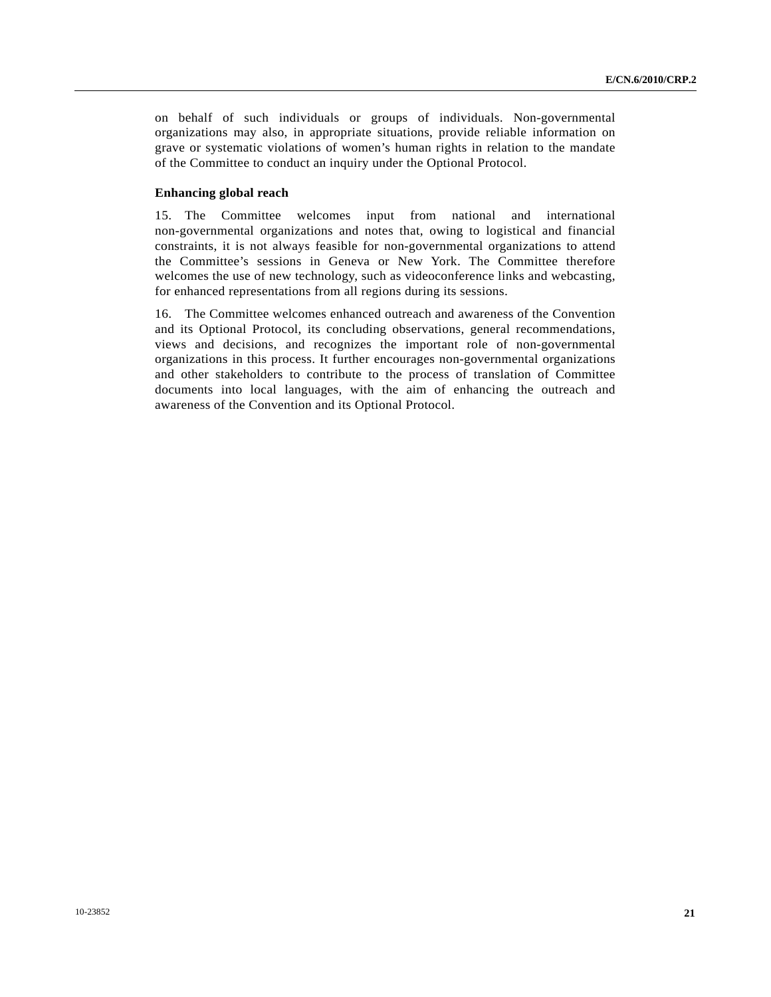on behalf of such individuals or groups of individuals. Non-governmental organizations may also, in appropriate situations, provide reliable information on grave or systematic violations of women's human rights in relation to the mandate of the Committee to conduct an inquiry under the Optional Protocol.

### **Enhancing global reach**

15. The Committee welcomes input from national and international non-governmental organizations and notes that, owing to logistical and financial constraints, it is not always feasible for non-governmental organizations to attend the Committee's sessions in Geneva or New York. The Committee therefore welcomes the use of new technology, such as videoconference links and webcasting, for enhanced representations from all regions during its sessions.

16. The Committee welcomes enhanced outreach and awareness of the Convention and its Optional Protocol, its concluding observations, general recommendations, views and decisions, and recognizes the important role of non-governmental organizations in this process. It further encourages non-governmental organizations and other stakeholders to contribute to the process of translation of Committee documents into local languages, with the aim of enhancing the outreach and awareness of the Convention and its Optional Protocol.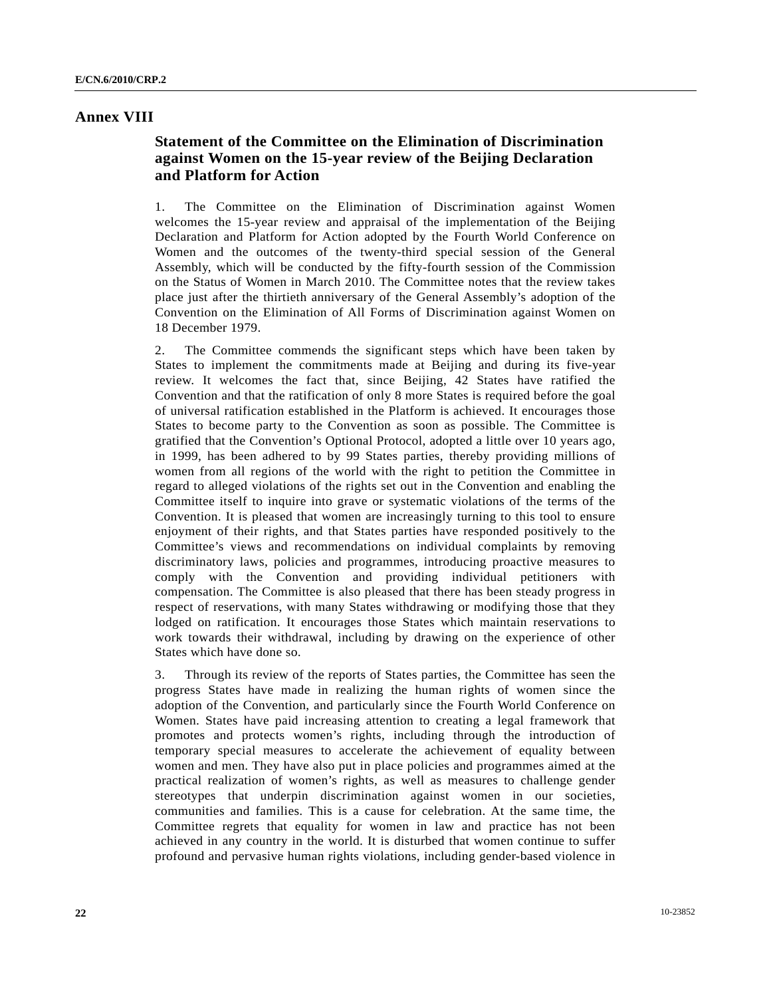### **Annex VIII**

## **Statement of the Committee on the Elimination of Discrimination against Women on the 15-year review of the Beijing Declaration and Platform for Action**

1. The Committee on the Elimination of Discrimination against Women welcomes the 15-year review and appraisal of the implementation of the Beijing Declaration and Platform for Action adopted by the Fourth World Conference on Women and the outcomes of the twenty-third special session of the General Assembly, which will be conducted by the fifty-fourth session of the Commission on the Status of Women in March 2010. The Committee notes that the review takes place just after the thirtieth anniversary of the General Assembly's adoption of the Convention on the Elimination of All Forms of Discrimination against Women on 18 December 1979.

2. The Committee commends the significant steps which have been taken by States to implement the commitments made at Beijing and during its five-year review. It welcomes the fact that, since Beijing, 42 States have ratified the Convention and that the ratification of only 8 more States is required before the goal of universal ratification established in the Platform is achieved. It encourages those States to become party to the Convention as soon as possible. The Committee is gratified that the Convention's Optional Protocol, adopted a little over 10 years ago, in 1999, has been adhered to by 99 States parties, thereby providing millions of women from all regions of the world with the right to petition the Committee in regard to alleged violations of the rights set out in the Convention and enabling the Committee itself to inquire into grave or systematic violations of the terms of the Convention. It is pleased that women are increasingly turning to this tool to ensure enjoyment of their rights, and that States parties have responded positively to the Committee's views and recommendations on individual complaints by removing discriminatory laws, policies and programmes, introducing proactive measures to comply with the Convention and providing individual petitioners with compensation. The Committee is also pleased that there has been steady progress in respect of reservations, with many States withdrawing or modifying those that they lodged on ratification. It encourages those States which maintain reservations to work towards their withdrawal, including by drawing on the experience of other States which have done so.

3. Through its review of the reports of States parties, the Committee has seen the progress States have made in realizing the human rights of women since the adoption of the Convention, and particularly since the Fourth World Conference on Women. States have paid increasing attention to creating a legal framework that promotes and protects women's rights, including through the introduction of temporary special measures to accelerate the achievement of equality between women and men. They have also put in place policies and programmes aimed at the practical realization of women's rights, as well as measures to challenge gender stereotypes that underpin discrimination against women in our societies, communities and families. This is a cause for celebration. At the same time, the Committee regrets that equality for women in law and practice has not been achieved in any country in the world. It is disturbed that women continue to suffer profound and pervasive human rights violations, including gender-based violence in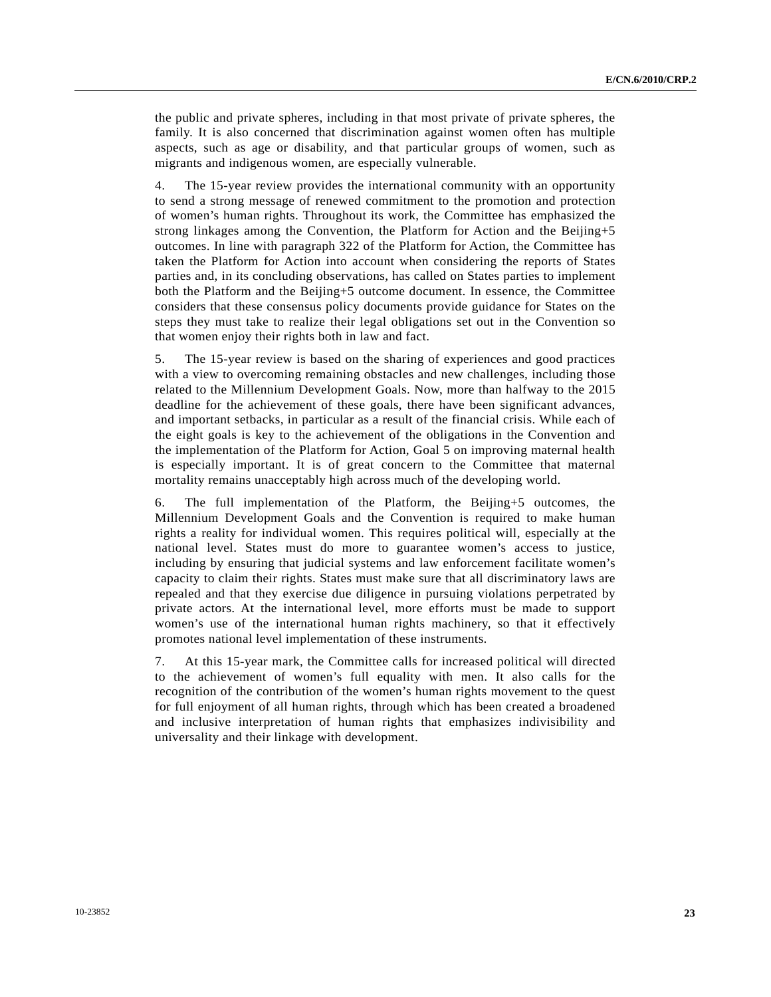the public and private spheres, including in that most private of private spheres, the family. It is also concerned that discrimination against women often has multiple aspects, such as age or disability, and that particular groups of women, such as migrants and indigenous women, are especially vulnerable.

4. The 15-year review provides the international community with an opportunity to send a strong message of renewed commitment to the promotion and protection of women's human rights. Throughout its work, the Committee has emphasized the strong linkages among the Convention, the Platform for Action and the Beijing+5 outcomes. In line with paragraph 322 of the Platform for Action, the Committee has taken the Platform for Action into account when considering the reports of States parties and, in its concluding observations, has called on States parties to implement both the Platform and the Beijing+5 outcome document. In essence, the Committee considers that these consensus policy documents provide guidance for States on the steps they must take to realize their legal obligations set out in the Convention so that women enjoy their rights both in law and fact.

5. The 15-year review is based on the sharing of experiences and good practices with a view to overcoming remaining obstacles and new challenges, including those related to the Millennium Development Goals. Now, more than halfway to the 2015 deadline for the achievement of these goals, there have been significant advances, and important setbacks, in particular as a result of the financial crisis. While each of the eight goals is key to the achievement of the obligations in the Convention and the implementation of the Platform for Action, Goal 5 on improving maternal health is especially important. It is of great concern to the Committee that maternal mortality remains unacceptably high across much of the developing world.

6. The full implementation of the Platform, the Beijing+5 outcomes, the Millennium Development Goals and the Convention is required to make human rights a reality for individual women. This requires political will, especially at the national level. States must do more to guarantee women's access to justice, including by ensuring that judicial systems and law enforcement facilitate women's capacity to claim their rights. States must make sure that all discriminatory laws are repealed and that they exercise due diligence in pursuing violations perpetrated by private actors. At the international level, more efforts must be made to support women's use of the international human rights machinery, so that it effectively promotes national level implementation of these instruments.

7. At this 15-year mark, the Committee calls for increased political will directed to the achievement of women's full equality with men. It also calls for the recognition of the contribution of the women's human rights movement to the quest for full enjoyment of all human rights, through which has been created a broadened and inclusive interpretation of human rights that emphasizes indivisibility and universality and their linkage with development.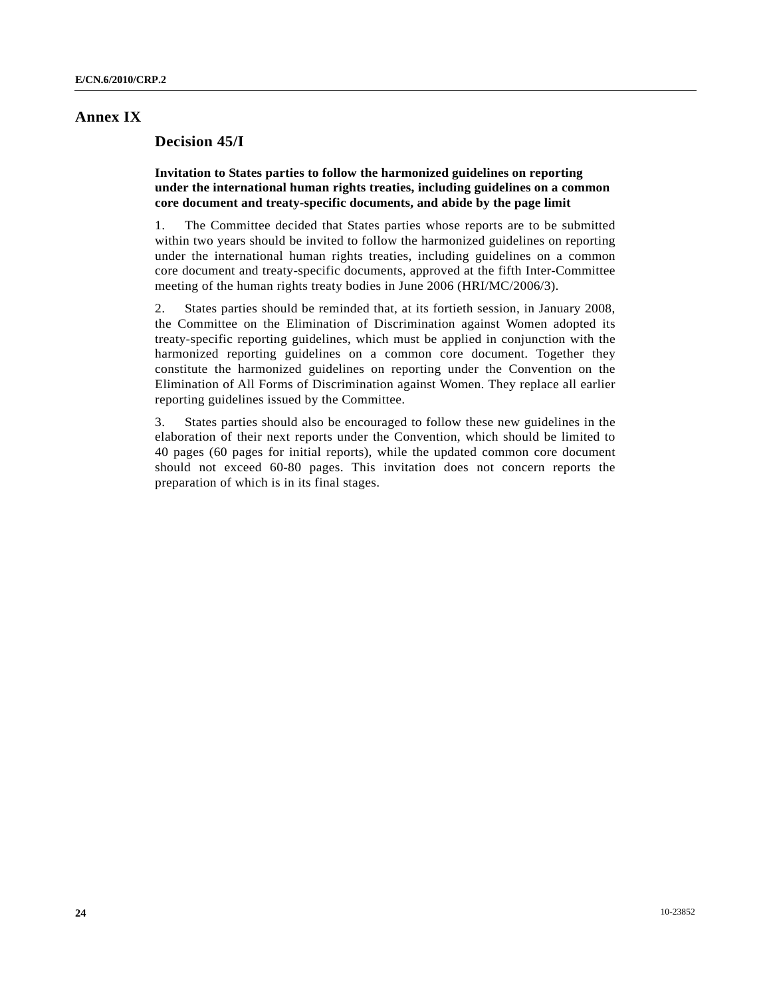### **Annex IX**

### **Decision 45/I**

 **Invitation to States parties to follow the harmonized guidelines on reporting under the international human rights treaties, including guidelines on a common core document and treaty-specific documents, and abide by the page limit** 

1. The Committee decided that States parties whose reports are to be submitted within two years should be invited to follow the harmonized guidelines on reporting under the international human rights treaties, including guidelines on a common core document and treaty-specific documents, approved at the fifth Inter-Committee meeting of the human rights treaty bodies in June 2006 (HRI/MC/2006/3).

2. States parties should be reminded that, at its fortieth session, in January 2008, the Committee on the Elimination of Discrimination against Women adopted its treaty-specific reporting guidelines, which must be applied in conjunction with the harmonized reporting guidelines on a common core document. Together they constitute the harmonized guidelines on reporting under the Convention on the Elimination of All Forms of Discrimination against Women. They replace all earlier reporting guidelines issued by the Committee.

3. States parties should also be encouraged to follow these new guidelines in the elaboration of their next reports under the Convention, which should be limited to 40 pages (60 pages for initial reports), while the updated common core document should not exceed 60-80 pages. This invitation does not concern reports the preparation of which is in its final stages.